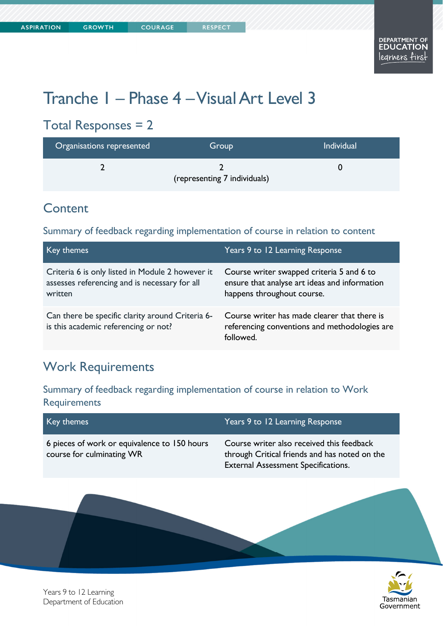# Tranche 1 – Phase 4 – Visual Art Level 3

# Total Responses = 2

| Organisations represented | Group                        | <b>Individual</b> |
|---------------------------|------------------------------|-------------------|
|                           | (representing 7 individuals) |                   |

#### **Content**

#### Summary of feedback regarding implementation of course in relation to content

| Key themes                                                                                                   | Years 9 to 12 Learning Response                                                                                          |
|--------------------------------------------------------------------------------------------------------------|--------------------------------------------------------------------------------------------------------------------------|
| Criteria 6 is only listed in Module 2 however it<br>assesses referencing and is necessary for all<br>written | Course writer swapped criteria 5 and 6 to<br>ensure that analyse art ideas and information<br>happens throughout course. |
| Can there be specific clarity around Criteria 6-<br>is this academic referencing or not?                     | Course writer has made clearer that there is<br>referencing conventions and methodologies are<br>followed.               |

### Work Requirements

Summary of feedback regarding implementation of course in relation to Work **Requirements** 

| Key themes                                                                | Years 9 to 12 Learning Response                                                                                                          |
|---------------------------------------------------------------------------|------------------------------------------------------------------------------------------------------------------------------------------|
| 6 pieces of work or equivalence to 150 hours<br>course for culminating WR | Course writer also received this feedback<br>through Critical friends and has noted on the<br><b>External Assessment Specifications.</b> |
|                                                                           |                                                                                                                                          |



Years 9 to 12 Learning Department of Education